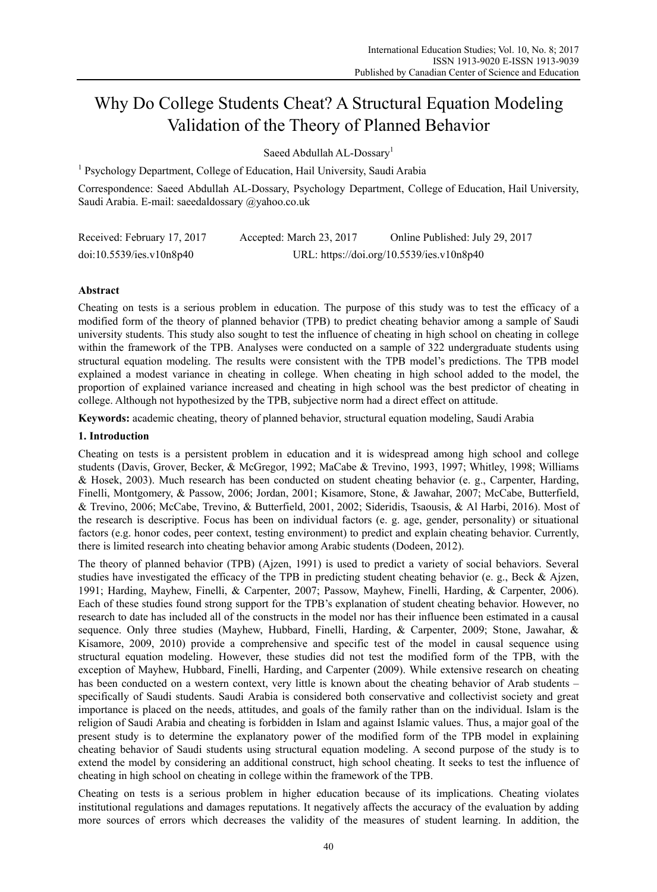# Why Do College Students Cheat? A Structural Equation Modeling Validation of the Theory of Planned Behavior

Saeed Abdullah AL-Dossary<sup>1</sup>

<sup>1</sup> Psychology Department, College of Education, Hail University, Saudi Arabia

Correspondence: Saeed Abdullah AL-Dossary, Psychology Department, College of Education, Hail University, Saudi Arabia. E-mail: saeedaldossary @yahoo.co.uk

| Received: February 17, 2017 | Accepted: March 23, 2017 | Online Published: July 29, 2017           |
|-----------------------------|--------------------------|-------------------------------------------|
| doi:10.5539/ies.v10n8p40    |                          | URL: https://doi.org/10.5539/ies.v10n8p40 |

# **Abstract**

Cheating on tests is a serious problem in education. The purpose of this study was to test the efficacy of a modified form of the theory of planned behavior (TPB) to predict cheating behavior among a sample of Saudi university students. This study also sought to test the influence of cheating in high school on cheating in college within the framework of the TPB. Analyses were conducted on a sample of 322 undergraduate students using structural equation modeling. The results were consistent with the TPB model's predictions. The TPB model explained a modest variance in cheating in college. When cheating in high school added to the model, the proportion of explained variance increased and cheating in high school was the best predictor of cheating in college. Although not hypothesized by the TPB, subjective norm had a direct effect on attitude.

**Keywords:** academic cheating, theory of planned behavior, structural equation modeling, Saudi Arabia

## **1. Introduction**

Cheating on tests is a persistent problem in education and it is widespread among high school and college students (Davis, Grover, Becker, & McGregor, 1992; MaCabe & Trevino, 1993, 1997; Whitley, 1998; Williams & Hosek, 2003). Much research has been conducted on student cheating behavior (e. g., Carpenter, Harding, Finelli, Montgomery, & Passow, 2006; Jordan, 2001; Kisamore, Stone, & Jawahar, 2007; McCabe, Butterfield, & Trevino, 2006; McCabe, Trevino, & Butterfield, 2001, 2002; Sideridis, Tsaousis, & Al Harbi, 2016). Most of the research is descriptive. Focus has been on individual factors (e. g. age, gender, personality) or situational factors (e.g. honor codes, peer context, testing environment) to predict and explain cheating behavior. Currently, there is limited research into cheating behavior among Arabic students (Dodeen, 2012).

The theory of planned behavior (TPB) (Ajzen, 1991) is used to predict a variety of social behaviors. Several studies have investigated the efficacy of the TPB in predicting student cheating behavior (e. g., Beck & Ajzen, 1991; Harding, Mayhew, Finelli, & Carpenter, 2007; Passow, Mayhew, Finelli, Harding, & Carpenter, 2006). Each of these studies found strong support for the TPB's explanation of student cheating behavior. However, no research to date has included all of the constructs in the model nor has their influence been estimated in a causal sequence. Only three studies (Mayhew, Hubbard, Finelli, Harding, & Carpenter, 2009; Stone, Jawahar, & Kisamore, 2009, 2010) provide a comprehensive and specific test of the model in causal sequence using structural equation modeling. However, these studies did not test the modified form of the TPB, with the exception of Mayhew, Hubbard, Finelli, Harding, and Carpenter (2009). While extensive research on cheating has been conducted on a western context, very little is known about the cheating behavior of Arab students – specifically of Saudi students. Saudi Arabia is considered both conservative and collectivist society and great importance is placed on the needs, attitudes, and goals of the family rather than on the individual. Islam is the religion of Saudi Arabia and cheating is forbidden in Islam and against Islamic values. Thus, a major goal of the present study is to determine the explanatory power of the modified form of the TPB model in explaining cheating behavior of Saudi students using structural equation modeling. A second purpose of the study is to extend the model by considering an additional construct, high school cheating. It seeks to test the influence of cheating in high school on cheating in college within the framework of the TPB.

Cheating on tests is a serious problem in higher education because of its implications. Cheating violates institutional regulations and damages reputations. It negatively affects the accuracy of the evaluation by adding more sources of errors which decreases the validity of the measures of student learning. In addition, the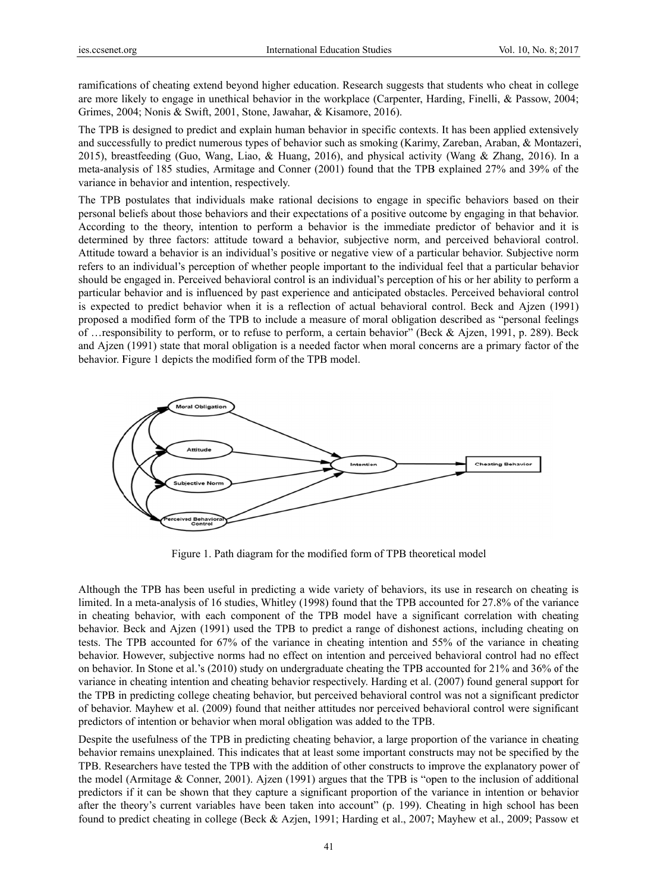ramifications of cheating extend beyond higher education. Research suggests that students who cheat in college are more likely to engage in unethical behavior in the workplace (Carpenter, Harding, Finelli, & Passow, 2004; Grimes, 2004; Nonis & Swift, 2001, Stone, Jawahar, & Kisamore, 2016).

The TPB is designed to predict and explain human behavior in specific contexts. It has been applied extensively and successfully to predict numerous types of behavior such as smoking (Karimy, Zareban, Araban, & Montazeri, 2015), breastfeeding (Guo, Wang, Liao, & Huang, 2016), and physical activity (Wang & Zhang, 2016). In a meta-analysis of 185 studies, Armitage and Conner (2001) found that the TPB explained 27% and 39% of the variance in behavior and intention, respectively.

The TPB postulates that individuals make rational decisions to engage in specific behaviors based on their personal beliefs about those behaviors and their expectations of a positive outcome by engaging in that behavior. According to the theory, intention to perform a behavior is the immediate predictor of behavior and it is determined by three factors: attitude toward a behavior, subjective norm, and perceived behavioral control. Attitude toward a behavior is an individual's positive or negative view of a particular behavior. Subjective norm refers to an individual's perception of whether people important to the individual feel that a particular behavior should be engaged in. Perceived behavioral control is an individual's perception of his or her ability to perform a particular behavior and is influenced by past experience and anticipated obstacles. Perceived behavioral control is expected to predict behavior when it is a reflection of actual behavioral control. Beck and Aizen (1991) proposed a modified form of the TPB to include a measure of moral obligation described as "personal feelings" of ... responsibility to perform, or to refuse to perform, a certain behavior" (Beck & Aizen, 1991, p. 289). Beck and Ajzen (1991) state that moral obligation is a needed factor when moral concerns are a primary factor of the behavior. Figure 1 depicts the modified form of the TPB model.



Figure 1. Path diagram for the modified form of TPB theoretical model

Although the TPB has been useful in predicting a wide variety of behaviors, its use in research on cheating is limited. In a meta-analysis of 16 studies, Whitley (1998) found that the TPB accounted for 27.8% of the variance in cheating behavior, with each component of the TPB model have a significant correlation with cheating behavior. Beck and Ajzen (1991) used the TPB to predict a range of dishonest actions, including cheating on tests. The TPB accounted for 67% of the variance in cheating intention and 55% of the variance in cheating behavior. However, subjective norms had no effect on intention and perceived behavioral control had no effect on behavior. In Stone et al.'s (2010) study on undergraduate cheating the TPB accounted for 21% and 36% of the variance in cheating intention and cheating behavior respectively. Harding et al. (2007) found general support for the TPB in predicting college cheating behavior, but perceived behavioral control was not a significant predictor of behavior. Mayhew et al. (2009) found that neither attitudes nor perceived behavioral control were significant predictors of intention or behavior when moral obligation was added to the TPB.

Despite the usefulness of the TPB in predicting cheating behavior, a large proportion of the variance in cheating behavior remains unexplained. This indicates that at least some important constructs may not be specified by the TPB. Researchers have tested the TPB with the addition of other constructs to improve the explanatory power of the model (Armitage & Conner, 2001). Ajzen (1991) argues that the TPB is "open to the inclusion of additional predictors if it can be shown that they capture a significant proportion of the variance in intention or behavior after the theory's current variables have been taken into account" (p. 199). Cheating in high school has been found to predict cheating in college (Beck & Azjen, 1991; Harding et al., 2007; Mayhew et al., 2009; Passow et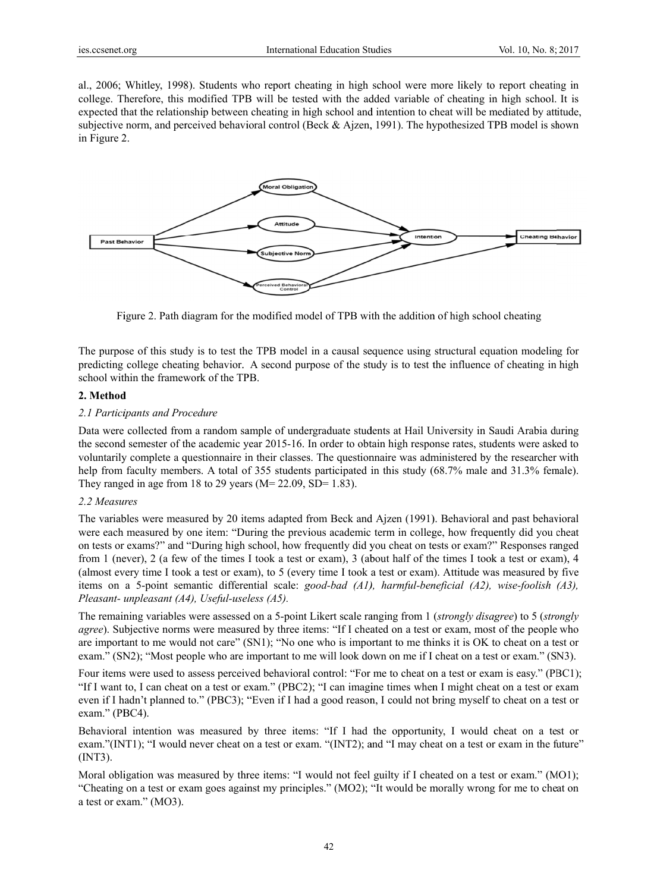al., 2006; Whitley, 1998). Students who report cheating in high school were more likely to report cheating in college. Therefore, this modified TPB will be tested with the added variable of cheating in high school. It is expected that the relationship between cheating in high school and intention to cheat will be mediated by attitude, subjective norm, and perceived behavioral control (Beck & Ajzen, 1991). The hypothesized TPB model is shown in Figure 2 2.



Figure 2. Path diagram for the modified model of TPB with the addition of high school cheating

The purpose of this study is to test the TPB model in a causal sequence using structural equation modeling for predicting college cheating behavior. A second purpose of the study is to test the influence of cheating in high school within the framework of the TPB.

### **2. Method d**

### 2.1 Participants and Procedure

Data were collected from a random sample of undergraduate students at Hail University in Saudi Arabia during the second semester of the academic year 2015-16. In order to obtain high response rates, students were asked to voluntarily complete a questionnaire in their classes. The questionnaire was administered by the researcher with help from faculty members. A total of 355 students participated in this study (68.7% male and 31.3% female). They ranged in age from 18 to 29 years ( $M= 22.09$ , SD= 1.83).

## 2.2 Measures

The variables were measured by 20 items adapted from Beck and Ajzen (1991). Behavioral and past behavioral were each measured by one item: "During the previous academic term in college, how frequently did you cheat on tests or exams?" and "During high school, how frequently did you cheat on tests or exam?" Responses ranged from 1 (never), 2 (a few of the times I took a test or exam), 3 (about half of the times I took a test or exam), 4 (almost every time I took a test or exam), to 5 (every time I took a test or exam). Attitude was measured by five items on a 5-point semantic differential scale: *good-bad (A1)*, *harmful-beneficial (A2)*, *wise-foolish (A3)*, *Pleasant-unpleasant (A4 4), Useful-use less (A5).*

The remaining variables were assessed on a 5-point Likert scale ranging from 1 (*strongly disagree*) to 5 (*strongly agree*). Subjective norms were measured by three items: "If I cheated on a test or exam, most of the people who are important to me would not care" (SN1); "No one who is important to me thinks it is OK to cheat on a test or exam." (SN2); "Most people who are important to me will look down on me if I cheat on a test or exam." (SN3).

Four items were used to assess perceived behavioral control: "For me to cheat on a test or exam is easy." (PBC1); "If I want to, I can cheat on a test or exam." (PBC2); "I can imagine times when I might cheat on a test or exam even if I hadn't planned to." (PBC3); "Even if I had a good reason, I could not bring myself to cheat on a test or exam." (PBC4).

Behavioral intention was measured by three items: "If I had the opportunity, I would cheat on a test or exam."(INT1); "I would never cheat on a test or exam. "(INT2); and "I may cheat on a test or exam in the future" (INT3).

Moral obligation was measured by three items: "I would not feel guilty if I cheated on a test or exam." (MO1); "Cheating on a test or exam goes against my principles." (MO2); "It would be morally wrong for me to cheat on a test or exam." (MO3).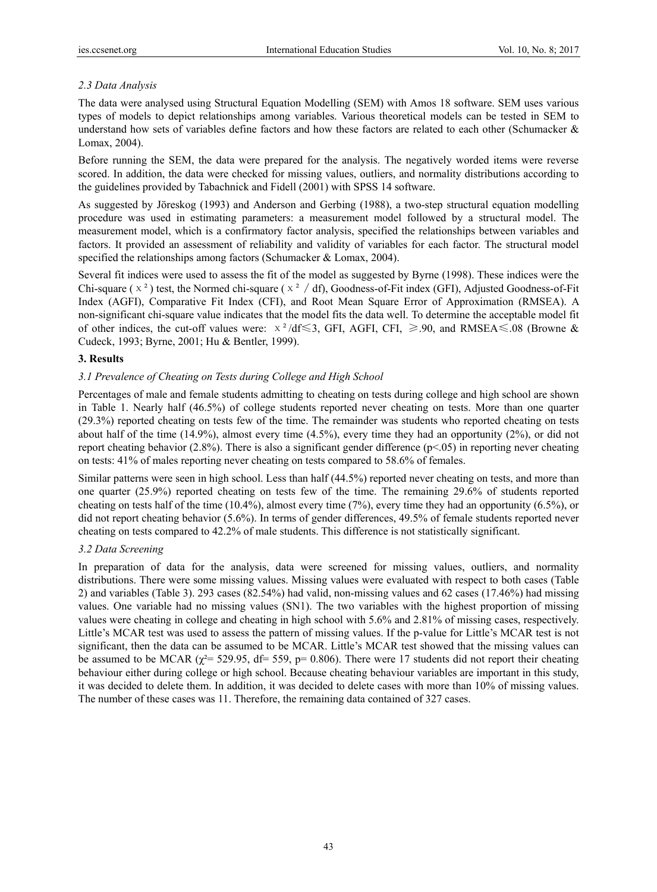# *2.3 Data Analysis*

The data were analysed using Structural Equation Modelling (SEM) with Amos 18 software. SEM uses various types of models to depict relationships among variables. Various theoretical models can be tested in SEM to understand how sets of variables define factors and how these factors are related to each other (Schumacker  $\&$ Lomax, 2004).

Before running the SEM, the data were prepared for the analysis. The negatively worded items were reverse scored. In addition, the data were checked for missing values, outliers, and normality distributions according to the guidelines provided by Tabachnick and Fidell (2001) with SPSS 14 software.

As suggested by Jöreskog (1993) and Anderson and Gerbing (1988), a two-step structural equation modelling procedure was used in estimating parameters: a measurement model followed by a structural model. The measurement model, which is a confirmatory factor analysis, specified the relationships between variables and factors. It provided an assessment of reliability and validity of variables for each factor. The structural model specified the relationships among factors (Schumacker & Lomax, 2004).

Several fit indices were used to assess the fit of the model as suggested by Byrne (1998). These indices were the Chi-square ( $x^2$ ) test, the Normed chi-square ( $x^2$ /df), Goodness-of-Fit index (GFI), Adjusted Goodness-of-Fit Index (AGFI), Comparative Fit Index (CFI), and Root Mean Square Error of Approximation (RMSEA). A non-significant chi-square value indicates that the model fits the data well. To determine the acceptable model fit of other indices, the cut-off values were:  $x^2/df \le 3$ , GFI, AGFI, CFI,  $\ge 90$ , and RMSEA  $\le 08$  (Browne & Cudeck, 1993; Byrne, 2001; Hu & Bentler, 1999).

# **3. Results**

# *3.1 Prevalence of Cheating on Tests during College and High School*

Percentages of male and female students admitting to cheating on tests during college and high school are shown in Table 1. Nearly half (46.5%) of college students reported never cheating on tests. More than one quarter (29.3%) reported cheating on tests few of the time. The remainder was students who reported cheating on tests about half of the time (14.9%), almost every time (4.5%), every time they had an opportunity (2%), or did not report cheating behavior (2.8%). There is also a significant gender difference ( $p<0.05$ ) in reporting never cheating on tests: 41% of males reporting never cheating on tests compared to 58.6% of females.

Similar patterns were seen in high school. Less than half (44.5%) reported never cheating on tests, and more than one quarter (25.9%) reported cheating on tests few of the time. The remaining 29.6% of students reported cheating on tests half of the time  $(10.4\%)$ , almost every time  $(7\%)$ , every time they had an opportunity  $(6.5\%)$ , or did not report cheating behavior (5.6%). In terms of gender differences, 49.5% of female students reported never cheating on tests compared to 42.2% of male students. This difference is not statistically significant.

# *3.2 Data Screening*

In preparation of data for the analysis, data were screened for missing values, outliers, and normality distributions. There were some missing values. Missing values were evaluated with respect to both cases (Table 2) and variables (Table 3). 293 cases (82.54%) had valid, non-missing values and 62 cases (17.46%) had missing values. One variable had no missing values (SN1). The two variables with the highest proportion of missing values were cheating in college and cheating in high school with 5.6% and 2.81% of missing cases, respectively. Little's MCAR test was used to assess the pattern of missing values. If the p-value for Little's MCAR test is not significant, then the data can be assumed to be MCAR. Little's MCAR test showed that the missing values can be assumed to be MCAR ( $\chi^2$ = 529.95, df= 559, p= 0.806). There were 17 students did not report their cheating behaviour either during college or high school. Because cheating behaviour variables are important in this study, it was decided to delete them. In addition, it was decided to delete cases with more than 10% of missing values. The number of these cases was 11. Therefore, the remaining data contained of 327 cases.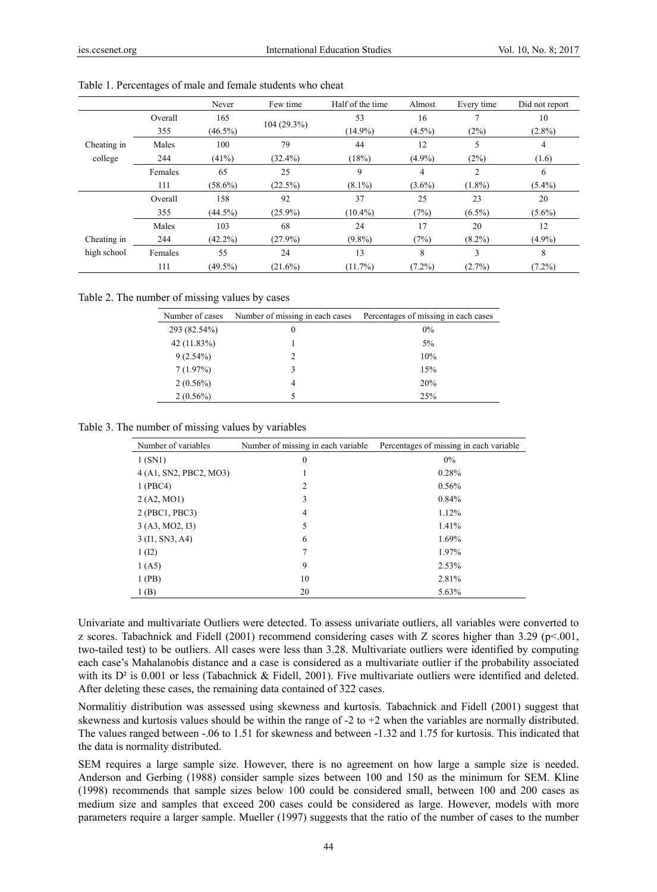|             |         | Never      | Few time      | Half of the time | Almost    | Every time     | Did not report |
|-------------|---------|------------|---------------|------------------|-----------|----------------|----------------|
|             | Overall | 165        |               | 53               | 16        | ⇁              | 10             |
|             | 355     | $(46.5\%)$ | $104(29.3\%)$ | $(14.9\%)$       | $(4.5\%)$ | (2%)           | $(2.8\%)$      |
| Cheating in | Males   | 100        | 79            | 44               | 12        | 5              | 4              |
| college     | 244     | (41%)      | $(32.4\%)$    | (18%)            | $(4.9\%)$ | (2%)           | (1.6)          |
|             | Females | 65         | 25            | 9                | 4         | $\overline{c}$ | 6              |
|             | 111     | $(58.6\%)$ | $(22.5\%)$    | $(8.1\%)$        | $(3.6\%)$ | $(1.8\%)$      | $(5.4\%)$      |
|             | Overall | 158        | 92            | 37               | 25        | 23             | 20             |
|             | 355     | $(44.5\%)$ | $(25.9\%)$    | $(10.4\%)$       | (7%)      | $(6.5\%)$      | $(5.6\%)$      |
|             | Males   | 103        | 68            | 24               | 17        | 20             | 12             |
| Cheating in | 244     | $(42.2\%)$ | $(27.9\%)$    | $(9.8\%)$        | (7%)      | $(8.2\%)$      | $(4.9\%)$      |
| high school | Females | 55         | 24            | 13               | 8         | 3              | 8              |
|             | 111     | $(49.5\%)$ | $(21.6\%)$    | $(11.7\%)$       | $(7.2\%)$ | $(2.7\%)$      | $(7.2\%)$      |

Table 1. Percentages of male and female students who cheat

Table 2. The number of missing values by cases

| Number of cases | Number of missing in each cases | Percentages of missing in each cases |  |  |
|-----------------|---------------------------------|--------------------------------------|--|--|
| 293 (82.54%)    | 0                               | 0%                                   |  |  |
| $42(11.83\%)$   |                                 | 5%                                   |  |  |
| $9(2.54\%)$     |                                 | 10%                                  |  |  |
| 7(1.97%)        | 3                               | 15%                                  |  |  |
| $2(0.56\%)$     | 4                               | 20%                                  |  |  |
| $2(0.56\%)$     |                                 | 25%                                  |  |  |

Table 3. The number of missing values by variables

| Number of variables    | Number of missing in each variable | Percentages of missing in each variable |
|------------------------|------------------------------------|-----------------------------------------|
| 1(SN1)                 | $\mathbf{0}$                       | 0%                                      |
| 4 (A1, SN2, PBC2, MO3) |                                    | 0.28%                                   |
| 1 (PBC4)               | 2                                  | 0.56%                                   |
| 2 (A2, MO1)            | 3                                  | 0.84%                                   |
| 2 (PBC1, PBC3)         | 4                                  | 1.12%                                   |
| 3 (A3, MO2, I3)        | 5                                  | 1.41%                                   |
| 3 (I1, SN3, A4)        | 6                                  | 1.69%                                   |
| 1 (12)                 |                                    | 1.97%                                   |
| 1(A5)                  | 9                                  | 2.53%                                   |
| 1(PB)                  | 10                                 | 2.81%                                   |
| 1(B)                   | 20                                 | 5.63%                                   |

Univariate and multivariate Outliers were detected. To assess univariate outliers, all variables were converted to z scores. Tabachnick and Fidell (2001) recommend considering cases with Z scores higher than 3.29 (p<.001, two-tailed test) to be outliers. All cases were less than 3.28. Multivariate outliers were identified by computing each case's Mahalanobis distance and a case is considered as a multivariate outlier if the probability associated with its  $D<sup>2</sup>$  is 0.001 or less (Tabachnick & Fidell, 2001). Five multivariate outliers were identified and deleted. After deleting these cases, the remaining data contained of 322 cases.

Normalitiy distribution was assessed using skewness and kurtosis. Tabachnick and Fidell (2001) suggest that skewness and kurtosis values should be within the range of -2 to +2 when the variables are normally distributed. The values ranged between -.06 to 1.51 for skewness and between -1.32 and 1.75 for kurtosis. This indicated that the data is normality distributed.

SEM requires a large sample size. However, there is no agreement on how large a sample size is needed. Anderson and Gerbing (1988) consider sample sizes between 100 and 150 as the minimum for SEM. Kline (1998) recommends that sample sizes below 100 could be considered small, between 100 and 200 cases as medium size and samples that exceed 200 cases could be considered as large. However, models with more parameters require a larger sample. Mueller (1997) suggests that the ratio of the number of cases to the number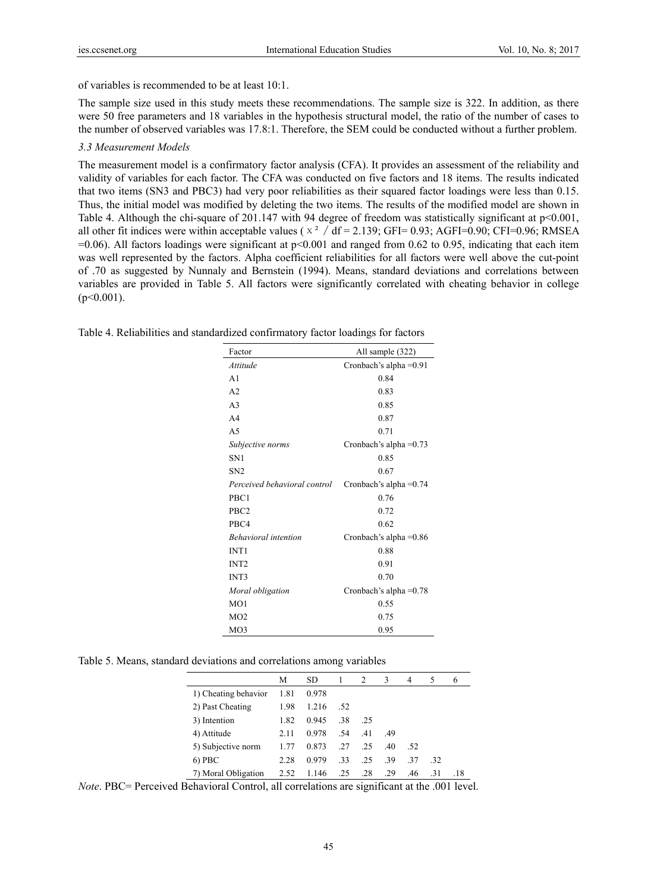of variables is recommended to be at least 10:1.

The sample size used in this study meets these recommendations. The sample size is 322. In addition, as there were 50 free parameters and 18 variables in the hypothesis structural model, the ratio of the number of cases to the number of observed variables was 17.8:1. Therefore, the SEM could be conducted without a further problem.

# *3.3 Measurement Models*

The measurement model is a confirmatory factor analysis (CFA). It provides an assessment of the reliability and validity of variables for each factor. The CFA was conducted on five factors and 18 items. The results indicated that two items (SN3 and PBC3) had very poor reliabilities as their squared factor loadings were less than 0.15. Thus, the initial model was modified by deleting the two items. The results of the modified model are shown in Table 4. Although the chi-square of 201.147 with 94 degree of freedom was statistically significant at p<0.001, all other fit indices were within acceptable values ( $x^2 / df = 2.139$ ; GFI= 0.93; AGFI= 0.90; CFI= 0.96; RMSEA  $=0.06$ ). All factors loadings were significant at  $p<0.001$  and ranged from 0.62 to 0.95, indicating that each item was well represented by the factors. Alpha coefficient reliabilities for all factors were well above the cut-point of .70 as suggested by Nunnaly and Bernstein (1994). Means, standard deviations and correlations between variables are provided in Table 5. All factors were significantly correlated with cheating behavior in college  $(p<0.001)$ .

| Factor                       | All sample (322)         |
|------------------------------|--------------------------|
| Attitude                     | Cronbach's alpha $=0.91$ |
| A <sub>1</sub>               | 0.84                     |
| A <sub>2</sub>               | 0.83                     |
| A <sub>3</sub>               | 0.85                     |
| A <sub>4</sub>               | 0.87                     |
| A <sub>5</sub>               | 0.71                     |
| Subjective norms             | Cronbach's alpha $=0.73$ |
| SN <sub>1</sub>              | 0.85                     |
| SN <sub>2</sub>              | 0.67                     |
| Perceived behavioral control | Cronbach's alpha $=0.74$ |
| PBC1                         | 0.76                     |
| PBC <sub>2</sub>             | 0.72                     |
| PBC4                         | 0.62                     |
| <b>Behavioral</b> intention  | Cronbach's alpha $=0.86$ |
| INT <sub>1</sub>             | 0.88                     |
| INT <sub>2</sub>             | 0.91                     |
| INT3                         | 0.70                     |
| Moral obligation             | Cronbach's alpha $=0.78$ |
| MO1                          | 0.55                     |
| MO2                          | 0.75                     |
| MO3                          | 0.95                     |

Table 4. Reliabilities and standardized confirmatory factor loadings for factors

Table 5. Means, standard deviations and correlations among variables

|                      | М    | SD.   |     | 2   | 3   | 4   | 5   | 6   |
|----------------------|------|-------|-----|-----|-----|-----|-----|-----|
| 1) Cheating behavior | 1.81 | 0.978 |     |     |     |     |     |     |
| 2) Past Cheating     | 1.98 | 1.216 | .52 |     |     |     |     |     |
| 3) Intention         | 1.82 | 0.945 | .38 | .25 |     |     |     |     |
| 4) Attitude          | 2.11 | 0.978 | .54 | .41 | .49 |     |     |     |
| 5) Subjective norm   | 1.77 | 0.873 | .27 | .25 | .40 | .52 |     |     |
| $6)$ PBC             | 2.28 | 0.979 | -33 | .25 | -39 | -37 | -32 |     |
| 7) Moral Obligation  | 2.52 | 1.146 | .25 | .28 | 29  | .46 | -31 | .18 |

*Note*. PBC= Perceived Behavioral Control, all correlations are significant at the .001 level.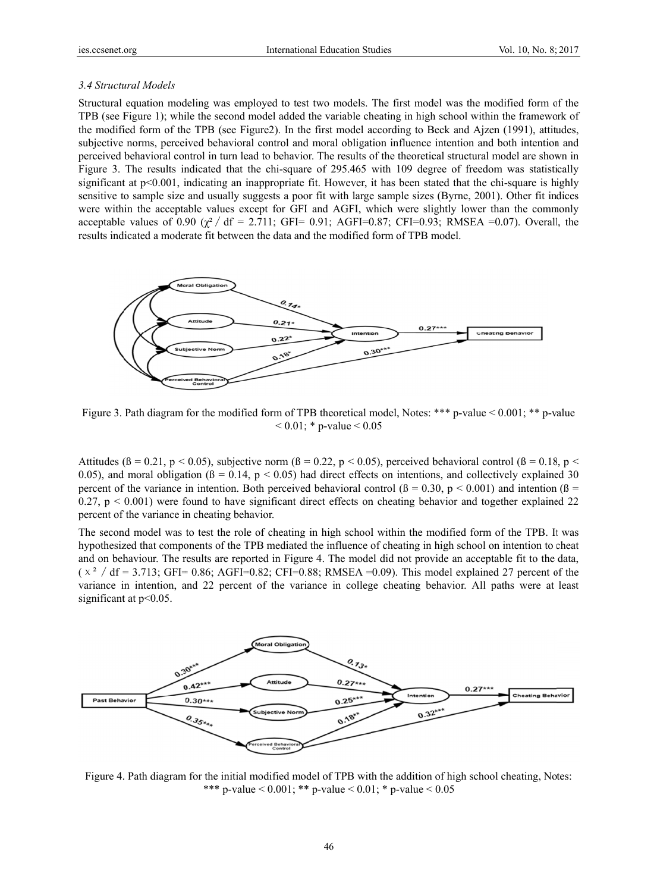## 3.4 Structural Models

Structural equation modeling was employed to test two models. The first model was the modified form of the TPB (see Figure 1); while the second model added the variable cheating in high school within the framework of the modified form of the TPB (see Figure 2). In the first model according to Beck and Aizen (1991), attitudes, subjective norms, perceived behavioral control and moral obligation influence intention and both intention and perceived behavioral control in turn lead to behavior. The results of the theoretical structural model are shown in Figure 3. The results indicated that the chi-square of 295.465 with 109 degree of freedom was statistically significant at p<0.001, indicating an inappropriate fit. However, it has been stated that the chi-square is highly sensitive to sample size and usually suggests a poor fit with large sample sizes (Byrne, 2001). Other fit indices were within the acceptable values except for GFI and AGFI, which were slightly lower than the commonly acceptable values of 0.90  $(\gamma^2/df = 2.711)$ ; GFI= 0.91; AGFI=0.87; CFI=0.93; RMSEA =0.07). Overall, the results indicated a moderate fit between the data and the modified form of TPB model.



Figure 3. Path diagram for the modified form of TPB theoretical model, Notes: \*\*\* p-value  $\leq 0.001$ ; \*\* p-value  $0.01$ ; \* p-value  $0.05$ 

Attitudes ( $\beta$  = 0.21, p < 0.05), subjective norm ( $\beta$  = 0.22, p < 0.05), perceived behavioral control ( $\beta$  = 0.18, p < 0.05), and moral obligation ( $\beta$  = 0.14,  $p$  < 0.05) had direct effects on intentions, and collectively explained 30 percent of the variance in intention. Both perceived behavioral control  $(6 = 0.30, p < 0.001)$  and intention  $(6 = 1.30, p < 0.001)$  $0.27$ ,  $p \le 0.001$ ) were found to have significant direct effects on cheating behavior and together explained 22 percent of the variance in cheating behavior.

The second model was to test the role of cheating in high school within the modified form of the TPB. It was hypothesized that components of the TPB mediated the influence of cheating in high school on intention to cheat and on behaviour. The results are reported in Figure 4. The model did not provide an acceptable fit to the data,  $(x^2)$  df = 3.713; GFI= 0.86; AGFI=0.82; CFI=0.88; RMSEA = 0.09). This model explained 27 percent of the variance in intention, and 22 percent of the variance in college cheating behavior. All paths were at least significant at  $p<0.05$ .



Figure 4. Path diagram for the initial modified model of TPB with the addition of high school cheating, Notes: \*\*\* p-value < 0.001; \*\* p-value < 0.01; \* p-value < 0.05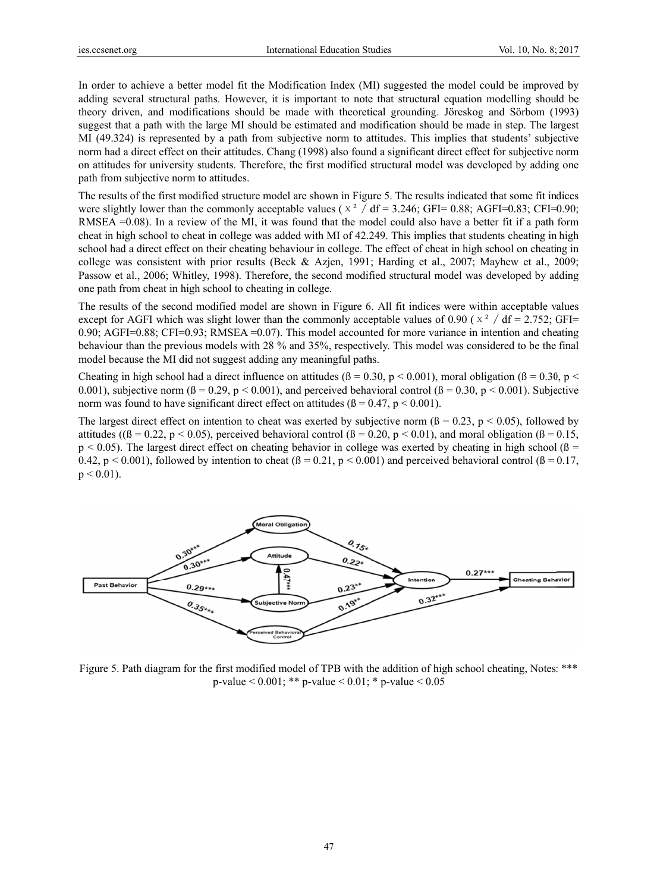In order to achieve a better model fit the Modification Index (MI) suggested the model could be improved by adding several structural paths. However, it is important to note that structural equation modelling should be theory driven, and modifications should be made with theoretical grounding. Jöreskog and Sörbom (1993) suggest that a path with the large MI should be estimated and modification should be made in step. The largest MI (49.324) is represented by a path from subjective norm to attitudes. This implies that students' subjective norm had a direct effect on their attitudes. Chang (1998) also found a significant direct effect for subjective norm on attitudes for university students. Therefore, the first modified structural model was developed by adding one path from subjective norm to attitudes.

The results of the first modified structure model are shown in Figure 5. The results indicated that some fit indices were slightly lower than the commonly acceptable values ( $\times$ <sup>2</sup> / df = 3.246; GFI= 0.88; AGFI= 0.83; CFI= 0.90; RMSEA  $=0.08$ ). In a review of the MI, it was found that the model could also have a better fit if a path form cheat in high school to cheat in college was added with MI of 42.249. This implies that students cheating in high school had a direct effect on their cheating behaviour in college. The effect of cheat in high school on cheating in college was consistent with prior results (Beck & Azjen, 1991; Harding et al., 2007; Mayhew et al., 2009; Passow et al., 2006; Whitley, 1998). Therefore, the second modified structural model was developed by adding one path from cheat in high school to cheating in college.

The results of the second modified model are shown in Figure 6. All fit indices were within acceptable values except for AGFI which was slight lower than the commonly acceptable values of 0.90 ( $x^2$  / df = 2.752; GFI= 0.90; AGFI=0.88; CFI=0.93; RMSEA=0.07). This model accounted for more variance in intention and cheating behaviour than the previous models with 28 % and 35%, respectively. This model was considered to be the final model because the MI did not suggest adding any meaningful paths.

Cheating in high school had a direct influence on attitudes  $(6 = 0.30, p < 0.001)$ , moral obligation  $(6 = 0.30, p < 0.001)$ 0.001), subjective norm ( $\beta$  = 0.29, p < 0.001), and perceived behavioral control ( $\beta$  = 0.30, p < 0.001). Subjective norm was found to have significant direct effect on attitudes ( $\beta$  = 0.47,  $p$  < 0.001).

The largest direct effect on intention to cheat was exerted by subjective norm ( $\beta = 0.23$ ,  $p < 0.05$ ), followed by attitudes ( $(β = 0.22, p < 0.05)$ , perceived behavioral control  $(β = 0.20, p < 0.01)$ , and moral obligation  $(β = 0.15,$  $p < 0.05$ ). The largest direct effect on cheating behavior in college was exerted by cheating in high school ( $\beta$  = 0.42, p < 0.001), followed by intention to cheat  $(\beta = 0.21, p \le 0.001)$  and perceived behavioral control  $(\beta = 0.17, p \le 0.001)$  $p < 0.01$ ).



Figure 5. Path diagram for the first modified model of TPB with the addition of high school cheating, Notes: \*\*\* p-value < 0.001; \*\* p-value < 0.01; \* p-value < 0.05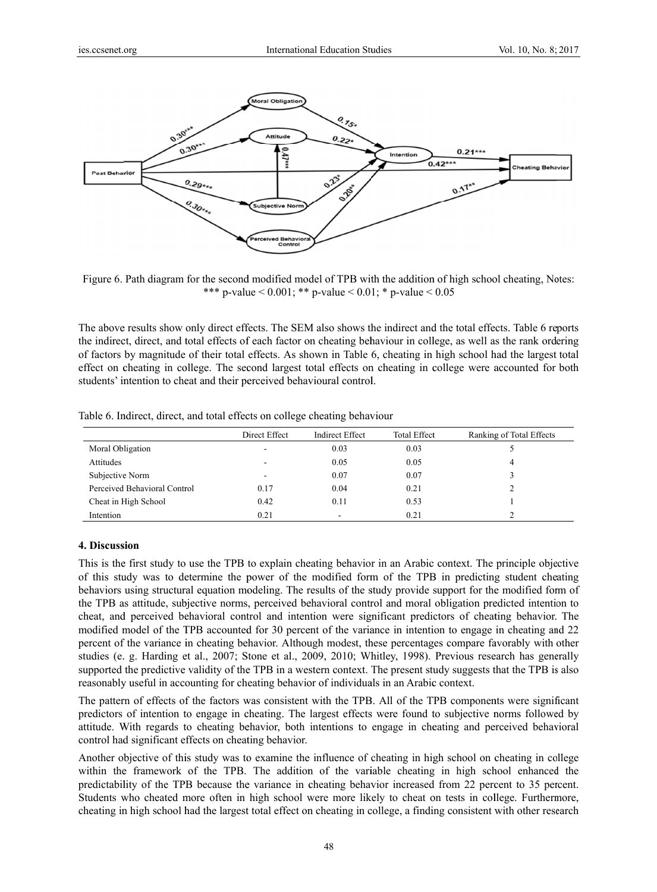

Figure 6. Path diagram for the second modified model of TPB with the addition of high school cheating, Notes: \*\*\* p-value <  $0.001$ ; \*\* p-value <  $0.01$ ; \* p-value <  $0.05$ 

The above results show only direct effects. The SEM also shows the indirect and the total effects. Table 6 reports the indirect, direct, and total effects of each factor on cheating behaviour in college, as well as the rank ordering of factors by magnitude of their total effects. As sh own in Table 6, cheating in high school h had the largest total effect on cheating in college. The second largest total effects on cheating in college were accounted for both students' intention to cheat and their perceived behavioural control.

|                              | Direct Effect | <b>Indirect Effect</b> | <b>Total Effect</b> | Ranking of Total Effects |
|------------------------------|---------------|------------------------|---------------------|--------------------------|
| Moral Obligation             |               | 0.03                   | 0.03                |                          |
| Attitudes                    |               | 0.05                   | 0.05                | 4                        |
| Subjective Norm              | -             | 0.07                   | 0.07                |                          |
| Perceived Behavioral Control | 0.17          | 0.04                   | 0.21                |                          |
| Cheat in High School         | 0.42          | 0.11                   | 0.53                |                          |
| Intention                    | 0.21          |                        | 0.21                |                          |

Table 6. Indirect, direct, and total effects on college cheating behaviour

#### **4. Discuss sion**

This is the first study to use the TPB to explain cheating behavior in an Arabic context. The principle objective of this study was to determine the power of the modified form of the TPB in predicting student cheating behaviors using structural equation modeling. The results of the study provide support for the modified form of the TPB as attitude, subjective norms, perceived behavioral control and moral obligation predicted intention to cheat, and perceived behavioral control and intention were significant predictors of cheating behavior. The modified model of the TPB accounted for 30 percent of the variance in intention to engage in cheating and 22 percent of the variance in cheating behavior. Although modest, these percentages compare favorably with other studies (e. g. Harding et al., 2007; Stone et al., 2009, 2010; Whitley, 1998). Previous research has generally supported the predictive validity of the TPB in a western context. The present study suggests that the TPB is also reasonably useful in accounting for cheating behavior of individuals in an Arabic context.

The pattern of effects of the factors was consistent with the TPB. All of the TPB components were significant predictors of intention to engage in cheating. The largest effects were found to subjective norms followed by attitude. With regards to cheating behavior, both intentions to engage in cheating and perceived behavioral control had significant effects on cheating behavior.

Another objective of this study was to examine the influence of cheating in high school on cheating in college within the framework of the TPB. The addition of the variable cheating in high school enhanced the predictability of the TPB because the variance in cheating behavior increased from 22 percent to 35 percent. Students who cheated more often in high school were more likely to cheat on tests in college. Furthermore, cheating in high school had the largest total effect on cheating in college, a finding consistent with other research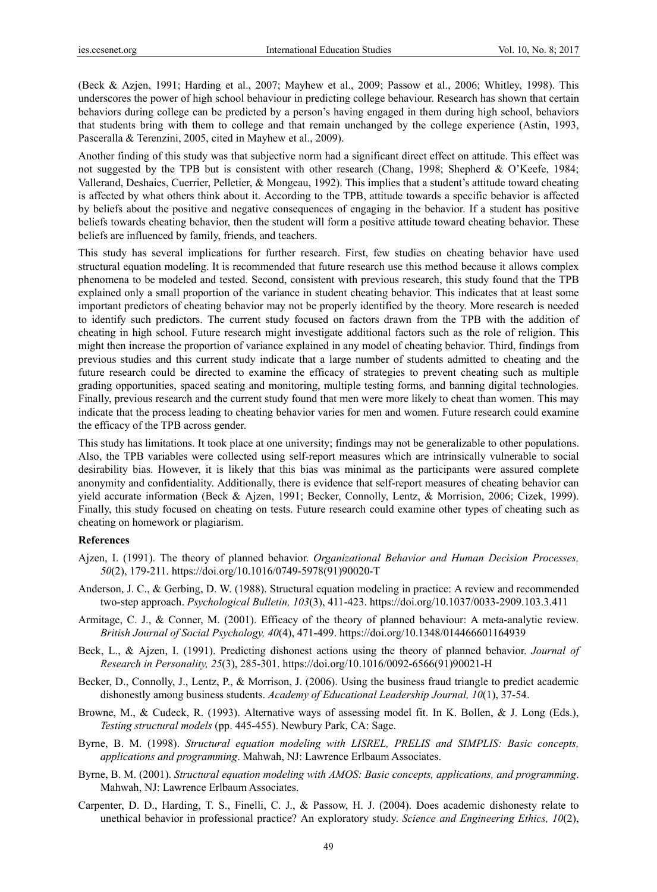(Beck & Azjen, 1991; Harding et al., 2007; Mayhew et al., 2009; Passow et al., 2006; Whitley, 1998). This underscores the power of high school behaviour in predicting college behaviour. Research has shown that certain behaviors during college can be predicted by a person's having engaged in them during high school, behaviors that students bring with them to college and that remain unchanged by the college experience (Astin, 1993, Pasceralla & Terenzini, 2005, cited in Mayhew et al., 2009).

Another finding of this study was that subjective norm had a significant direct effect on attitude. This effect was not suggested by the TPB but is consistent with other research (Chang, 1998; Shepherd & O'Keefe, 1984; Vallerand, Deshaies, Cuerrier, Pelletier, & Mongeau, 1992). This implies that a student's attitude toward cheating is affected by what others think about it. According to the TPB, attitude towards a specific behavior is affected by beliefs about the positive and negative consequences of engaging in the behavior. If a student has positive beliefs towards cheating behavior, then the student will form a positive attitude toward cheating behavior. These beliefs are influenced by family, friends, and teachers.

This study has several implications for further research. First, few studies on cheating behavior have used structural equation modeling. It is recommended that future research use this method because it allows complex phenomena to be modeled and tested. Second, consistent with previous research, this study found that the TPB explained only a small proportion of the variance in student cheating behavior. This indicates that at least some important predictors of cheating behavior may not be properly identified by the theory. More research is needed to identify such predictors. The current study focused on factors drawn from the TPB with the addition of cheating in high school. Future research might investigate additional factors such as the role of religion. This might then increase the proportion of variance explained in any model of cheating behavior. Third, findings from previous studies and this current study indicate that a large number of students admitted to cheating and the future research could be directed to examine the efficacy of strategies to prevent cheating such as multiple grading opportunities, spaced seating and monitoring, multiple testing forms, and banning digital technologies. Finally, previous research and the current study found that men were more likely to cheat than women. This may indicate that the process leading to cheating behavior varies for men and women. Future research could examine the efficacy of the TPB across gender.

This study has limitations. It took place at one university; findings may not be generalizable to other populations. Also, the TPB variables were collected using self-report measures which are intrinsically vulnerable to social desirability bias. However, it is likely that this bias was minimal as the participants were assured complete anonymity and confidentiality. Additionally, there is evidence that self-report measures of cheating behavior can yield accurate information (Beck & Ajzen, 1991; Becker, Connolly, Lentz, & Morrision, 2006; Cizek, 1999). Finally, this study focused on cheating on tests. Future research could examine other types of cheating such as cheating on homework or plagiarism.

#### **References**

- Ajzen, I. (1991). The theory of planned behavior. *Organizational Behavior and Human Decision Processes, 50*(2), 179-211. https://doi.org/10.1016/0749-5978(91)90020-T
- Anderson, J. C., & Gerbing, D. W. (1988). Structural equation modeling in practice: A review and recommended two-step approach. *Psychological Bulletin, 103*(3), 411-423. https://doi.org/10.1037/0033-2909.103.3.411
- Armitage, C. J., & Conner, M. (2001). Efficacy of the theory of planned behaviour: A meta-analytic review. *British Journal of Social Psychology, 40*(4), 471-499. https://doi.org/10.1348/014466601164939
- Beck, L., & Ajzen, I. (1991). Predicting dishonest actions using the theory of planned behavior. *Journal of Research in Personality, 25*(3), 285-301. https://doi.org/10.1016/0092-6566(91)90021-H
- Becker, D., Connolly, J., Lentz, P., & Morrison, J. (2006). Using the business fraud triangle to predict academic dishonestly among business students. *Academy of Educational Leadership Journal, 10*(1), 37-54.
- Browne, M., & Cudeck, R. (1993). Alternative ways of assessing model fit. In K. Bollen, & J. Long (Eds.), *Testing structural models* (pp. 445-455). Newbury Park, CA: Sage.
- Byrne, B. M. (1998). *Structural equation modeling with LISREL, PRELIS and SIMPLIS: Basic concepts, applications and programming*. Mahwah, NJ: Lawrence Erlbaum Associates.
- Byrne, B. M. (2001). *Structural equation modeling with AMOS: Basic concepts, applications, and programming*. Mahwah, NJ: Lawrence Erlbaum Associates.
- Carpenter, D. D., Harding, T. S., Finelli, C. J., & Passow, H. J. (2004). Does academic dishonesty relate to unethical behavior in professional practice? An exploratory study. *Science and Engineering Ethics, 10*(2),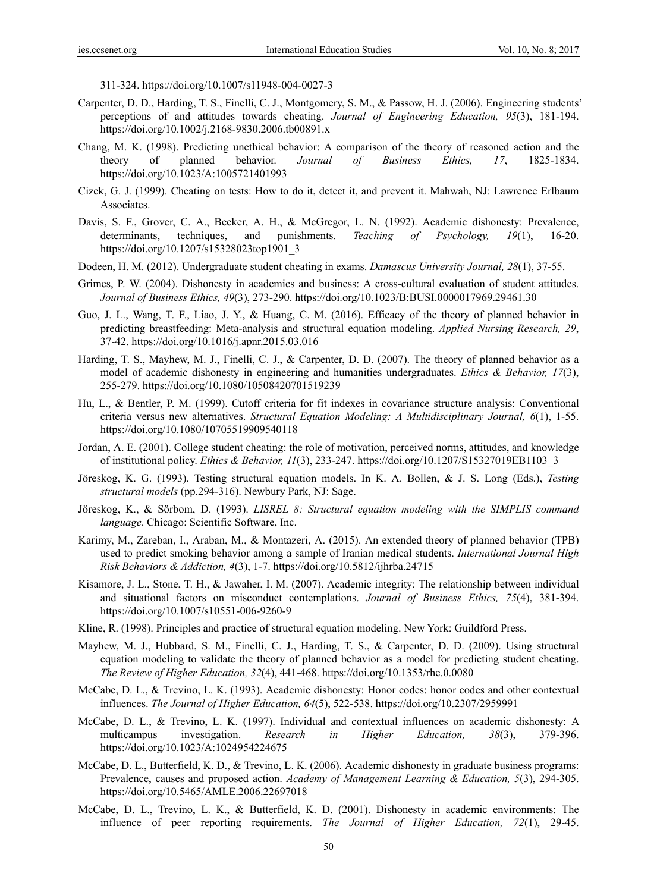311-324. https://doi.org/10.1007/s11948-004-0027-3

- Carpenter, D. D., Harding, T. S., Finelli, C. J., Montgomery, S. M., & Passow, H. J. (2006). Engineering students' perceptions of and attitudes towards cheating. *Journal of Engineering Education, 95*(3), 181-194. https://doi.org/10.1002/j.2168-9830.2006.tb00891.x
- Chang, M. K. (1998). Predicting unethical behavior: A comparison of the theory of reasoned action and the theory of planned behavior. *Journal of Business Ethics, 17*, 1825-1834. https://doi.org/10.1023/A:1005721401993
- Cizek, G. J. (1999). Cheating on tests: How to do it, detect it, and prevent it. Mahwah, NJ: Lawrence Erlbaum Associates.
- Davis, S. F., Grover, C. A., Becker, A. H., & McGregor, L. N. (1992). Academic dishonesty: Prevalence, determinants, techniques, and punishments. *Teaching of Psychology, 19*(1), 16-20. https://doi.org/10.1207/s15328023top1901\_3
- Dodeen, H. M. (2012). Undergraduate student cheating in exams. *Damascus University Journal, 28*(1), 37-55.
- Grimes, P. W. (2004). Dishonesty in academics and business: A cross-cultural evaluation of student attitudes. *Journal of Business Ethics, 49*(3), 273-290. https://doi.org/10.1023/B:BUSI.0000017969.29461.30
- Guo, J. L., Wang, T. F., Liao, J. Y., & Huang, C. M. (2016). Efficacy of the theory of planned behavior in predicting breastfeeding: Meta-analysis and structural equation modeling. *Applied Nursing Research, 29*, 37-42. https://doi.org/10.1016/j.apnr.2015.03.016
- Harding, T. S., Mayhew, M. J., Finelli, C. J., & Carpenter, D. D. (2007). The theory of planned behavior as a model of academic dishonesty in engineering and humanities undergraduates. *Ethics & Behavior, 17*(3), 255-279. https://doi.org/10.1080/10508420701519239
- Hu, L., & Bentler, P. M. (1999). Cutoff criteria for fit indexes in covariance structure analysis: Conventional criteria versus new alternatives. *Structural Equation Modeling: A Multidisciplinary Journal, 6*(1), 1-55. https://doi.org/10.1080/10705519909540118
- Jordan, A. E. (2001). College student cheating: the role of motivation, perceived norms, attitudes, and knowledge of institutional policy. *Ethics & Behavior, 11*(3), 233-247. https://doi.org/10.1207/S15327019EB1103\_3
- Jöreskog, K. G. (1993). Testing structural equation models. In K. A. Bollen, & J. S. Long (Eds.), *Testing structural models* (pp.294-316). Newbury Park, NJ: Sage.
- Jöreskog, K., & Sörbom, D. (1993). *LISREL 8: Structural equation modeling with the SIMPLIS command language*. Chicago: Scientific Software, Inc.
- Karimy, M., Zareban, I., Araban, M., & Montazeri, A. (2015). An extended theory of planned behavior (TPB) used to predict smoking behavior among a sample of Iranian medical students. *International Journal High Risk Behaviors & Addiction, 4*(3), 1-7. https://doi.org/10.5812/ijhrba.24715
- Kisamore, J. L., Stone, T. H., & Jawaher, I. M. (2007). Academic integrity: The relationship between individual and situational factors on misconduct contemplations. *Journal of Business Ethics, 75*(4), 381-394. https://doi.org/10.1007/s10551-006-9260-9
- Kline, R. (1998). Principles and practice of structural equation modeling. New York: Guildford Press.
- Mayhew, M. J., Hubbard, S. M., Finelli, C. J., Harding, T. S., & Carpenter, D. D. (2009). Using structural equation modeling to validate the theory of planned behavior as a model for predicting student cheating. *The Review of Higher Education, 32*(4), 441-468. https://doi.org/10.1353/rhe.0.0080
- McCabe, D. L., & Trevino, L. K. (1993). Academic dishonesty: Honor codes: honor codes and other contextual influences. *The Journal of Higher Education, 64*(5), 522-538. https://doi.org/10.2307/2959991
- McCabe, D. L., & Trevino, L. K. (1997). Individual and contextual influences on academic dishonesty: A multicampus investigation. *Research in Higher Education, 38*(3), 379-396. https://doi.org/10.1023/A:1024954224675
- McCabe, D. L., Butterfield, K. D., & Trevino, L. K. (2006). Academic dishonesty in graduate business programs: Prevalence, causes and proposed action. *Academy of Management Learning & Education, 5*(3), 294-305. https://doi.org/10.5465/AMLE.2006.22697018
- McCabe, D. L., Trevino, L. K., & Butterfield, K. D. (2001). Dishonesty in academic environments: The influence of peer reporting requirements. *The Journal of Higher Education, 72*(1), 29-45.